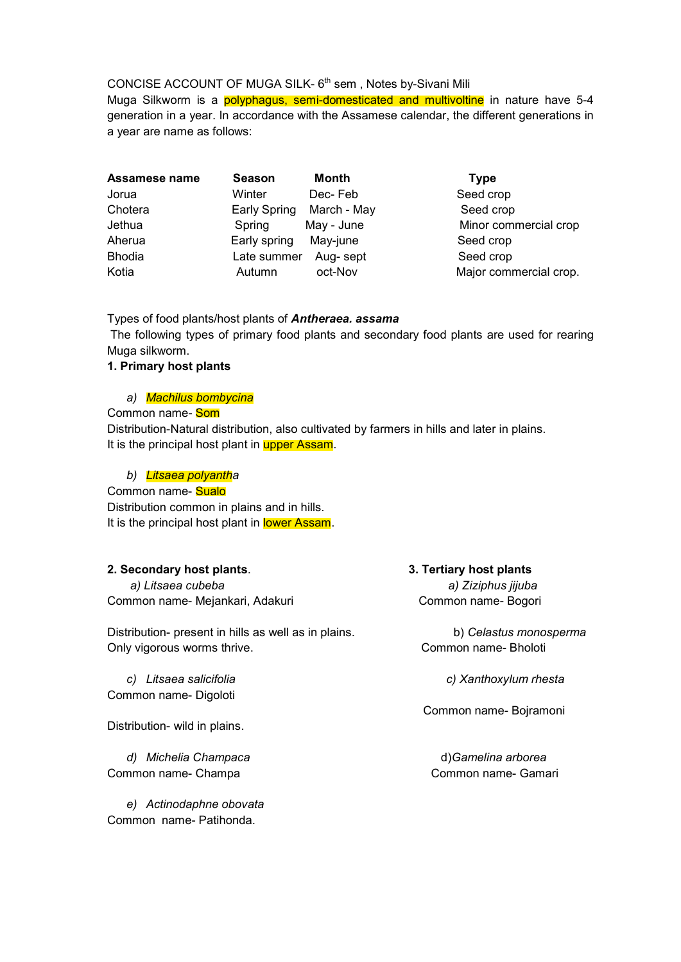# CONCISE ACCOUNT OF MUGA SILK- 6<sup>th</sup> sem, Notes by-Sivani Mili

Muga Silkworm is a **polyphagus, semi-domesticated and multivoltine** in nature have 5-4 generation in a year. In accordance with the Assamese calendar, the different generations in a year are name as follows:

| Assamese name | <b>Season</b>         | Month       | <b>Type</b> |
|---------------|-----------------------|-------------|-------------|
| Jorua         | Winter                | Dec-Feb     | Seed cl     |
| Chotera       | <b>Early Spring</b>   | March - May | Seed o      |
| Jethua        | Spring                | May - June  | Minor o     |
| Aherua        | Early spring May-june |             | Seed c      |
| <b>Bhodia</b> | Late summer Aug- sept |             | Seed c      |
| Kotia         | Autumn                | oct-Nov     | Major c     |

Seed crop Seed crop Minor commercial crop Seed crop Seed crop Major commercial crop.

# Types of food plants/host plants of *Antheraea. assama*

The following types of primary food plants and secondary food plants are used for rearing Muga silkworm.

## **1. Primary host plants**

## *a) Machilus bombycina*

# Common name*-* Som

Distribution-Natural distribution, also cultivated by farmers in hills and later in plains. It is the principal host plant in upper Assam.

## *b) Litsaea polyantha*

#### Common name- Sualo

Distribution common in plains and in hills. It is the principal host plant in lower Assam.

## **2. Secondary host plants**. **3. Tertiary host plants**

 *a) Litsaea cubeba a) Ziziphus jijuba* Common name- Mejankari, Adakuri Common name- Bogori

Distribution- present in hills as well as in plains. b) *Celastus monosperma* Only vigorous worms thrive. Common name- Bholoti

Common name- Digoloti

Distribution- wild in plains.

*d) Michelia Champaca* d)*Gamelina arborea*  Common name- Champa Common name- Gamari

*e) Actinodaphne obovata* Common name- Patihonda.

*c) Litsaea salicifolia c) Xanthoxylum rhesta*

Common name- Bojramoni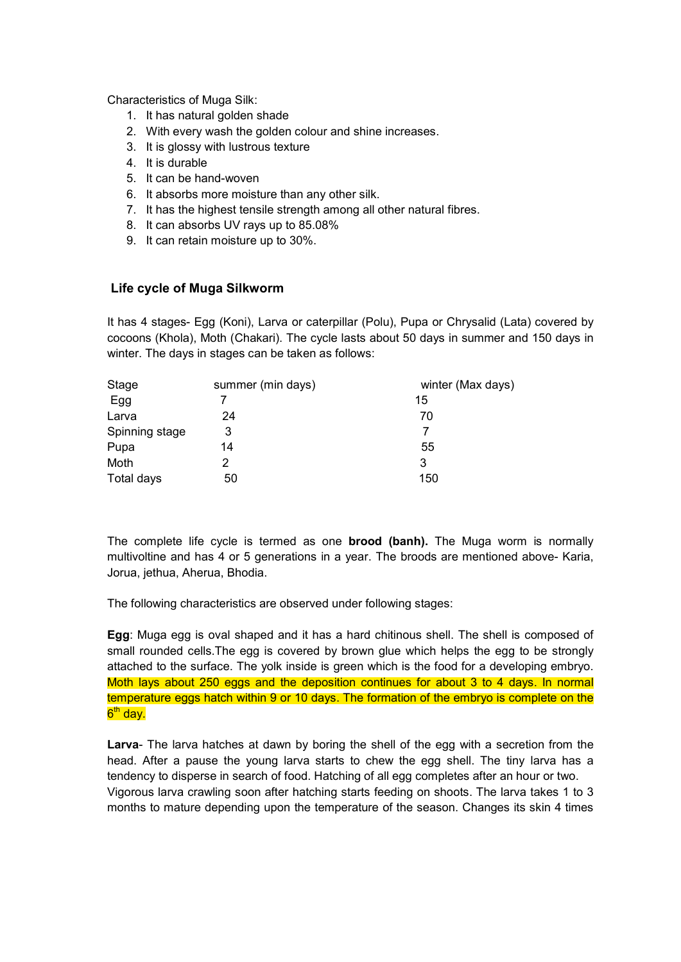Characteristics of Muga Silk:

- 1. It has natural golden shade
- 2. With every wash the golden colour and shine increases.
- 3. It is glossy with lustrous texture
- 4. It is durable
- 5. It can be hand-woven
- 6. It absorbs more moisture than any other silk.
- 7. It has the highest tensile strength among all other natural fibres.
- 8. It can absorbs UV rays up to 85.08%
- 9. It can retain moisture up to 30%.

## **Life cycle of Muga Silkworm**

It has 4 stages- Egg (Koni), Larva or caterpillar (Polu), Pupa or Chrysalid (Lata) covered by cocoons (Khola), Moth (Chakari). The cycle lasts about 50 days in summer and 150 days in winter. The days in stages can be taken as follows:

| Stage          | summer (min days) | winter (Max days) |
|----------------|-------------------|-------------------|
| Egg            |                   | 15                |
| Larva          | 24                | 70                |
| Spinning stage | 3                 |                   |
| Pupa           | 14                | 55                |
| Moth           |                   | 3                 |
| Total days     | 50                | 150               |

The complete life cycle is termed as one **brood (banh).** The Muga worm is normally multivoltine and has 4 or 5 generations in a year. The broods are mentioned above- Karia, Jorua, jethua, Aherua, Bhodia.

The following characteristics are observed under following stages:

**Egg**: Muga egg is oval shaped and it has a hard chitinous shell. The shell is composed of small rounded cells.The egg is covered by brown glue which helps the egg to be strongly attached to the surface. The yolk inside is green which is the food for a developing embryo. Moth lays about 250 eggs and the deposition continues for about 3 to 4 days. In normal temperature eggs hatch within 9 or 10 days. The formation of the embryo is complete on the 6<sup>th</sup> day.

**Larva**- The larva hatches at dawn by boring the shell of the egg with a secretion from the head. After a pause the young larva starts to chew the egg shell. The tiny larva has a tendency to disperse in search of food. Hatching of all egg completes after an hour or two. Vigorous larva crawling soon after hatching starts feeding on shoots. The larva takes 1 to 3 months to mature depending upon the temperature of the season. Changes its skin 4 times